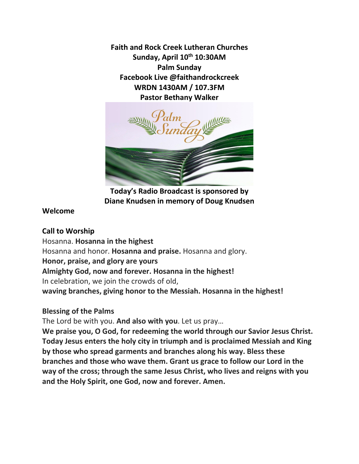**Faith and Rock Creek Lutheran Churches Sunday, April 10th 10:30AM Palm Sunday Facebook Live @faithandrockcreek WRDN 1430AM / 107.3FM Pastor Bethany Walker**



**Today's Radio Broadcast is sponsored by Diane Knudsen in memory of Doug Knudsen**

### **Welcome**

## **Call to Worship**

Hosanna. **Hosanna in the highest** Hosanna and honor. **Hosanna and praise.** Hosanna and glory. **Honor, praise, and glory are yours Almighty God, now and forever. Hosanna in the highest!** In celebration, we join the crowds of old, **waving branches, giving honor to the Messiah. Hosanna in the highest!**

# **Blessing of the Palms**

The Lord be with you. **And also with you**. Let us pray…

**We praise you, O God, for redeeming the world through our Savior Jesus Christ. Today Jesus enters the holy city in triumph and is proclaimed Messiah and King by those who spread garments and branches along his way. Bless these branches and those who wave them. Grant us grace to follow our Lord in the way of the cross; through the same Jesus Christ, who lives and reigns with you and the Holy Spirit, one God, now and forever. Amen.**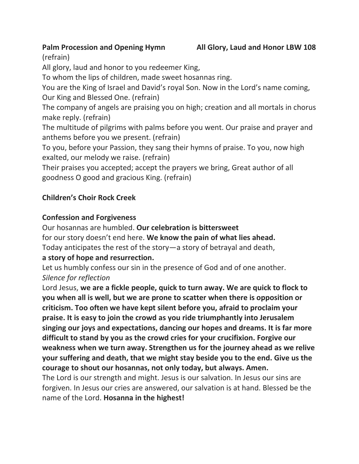# **Palm Procession and Opening Hymn All Glory, Laud and Honor LBW 108**

(refrain)

All glory, laud and honor to you redeemer King,

To whom the lips of children, made sweet hosannas ring.

You are the King of Israel and David's royal Son. Now in the Lord's name coming, Our King and Blessed One. (refrain)

The company of angels are praising you on high; creation and all mortals in chorus make reply. (refrain)

The multitude of pilgrims with palms before you went. Our praise and prayer and anthems before you we present. (refrain)

To you, before your Passion, they sang their hymns of praise. To you, now high exalted, our melody we raise. (refrain)

Their praises you accepted; accept the prayers we bring, Great author of all goodness O good and gracious King. (refrain)

# **Children's Choir Rock Creek**

# **Confession and Forgiveness**

Our hosannas are humbled. **Our celebration is bittersweet** for our story doesn't end here. **We know the pain of what lies ahead.** Today anticipates the rest of the story—a story of betrayal and death, **a story of hope and resurrection.**

Let us humbly confess our sin in the presence of God and of one another. *Silence for reflection* 

Lord Jesus, **we are a fickle people, quick to turn away. We are quick to flock to you when all is well, but we are prone to scatter when there is opposition or criticism. Too often we have kept silent before you, afraid to proclaim your praise. It is easy to join the crowd as you ride triumphantly into Jerusalem singing our joys and expectations, dancing our hopes and dreams. It is far more difficult to stand by you as the crowd cries for your crucifixion. Forgive our weakness when we turn away. Strengthen us for the journey ahead as we relive your suffering and death, that we might stay beside you to the end. Give us the courage to shout our hosannas, not only today, but always. Amen.**

The Lord is our strength and might. Jesus is our salvation. In Jesus our sins are forgiven. In Jesus our cries are answered, our salvation is at hand. Blessed be the name of the Lord. **Hosanna in the highest!**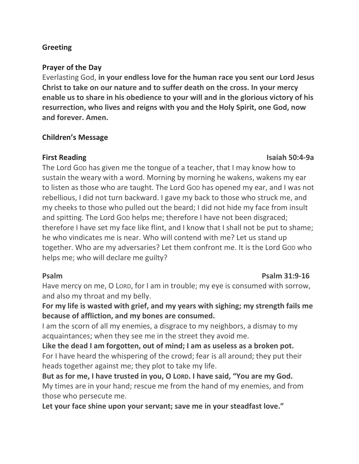# **Greeting**

### **Prayer of the Day**

Everlasting God, **in your endless love for the human race you sent our Lord Jesus Christ to take on our nature and to suffer death on the cross. In your mercy enable us to share in his obedience to your will and in the glorious victory of his resurrection, who lives and reigns with you and the Holy Spirit, one God, now and forever. Amen.**

## **Children's Message**

#### **First Reading Isaiah 50:4-9a**

The Lord GOD has given me the tongue of a teacher, that I may know how to sustain the weary with a word. Morning by morning he wakens, wakens my ear to listen as those who are taught. The Lord GOD has opened my ear, and I was not rebellious, I did not turn backward. I gave my back to those who struck me, and my cheeks to those who pulled out the beard; I did not hide my face from insult and spitting. The Lord GOD helps me; therefore I have not been disgraced; therefore I have set my face like flint, and I know that I shall not be put to shame; he who vindicates me is near. Who will contend with me? Let us stand up together. Who are my adversaries? Let them confront me. It is the Lord GOD who helps me; who will declare me guilty?

# **Psalm Psalm 31:9-16**

Have mercy on me, O LORD, for I am in trouble; my eye is consumed with sorrow, and also my throat and my belly.

**For my life is wasted with grief, and my years with sighing; my strength fails me because of affliction, and my bones are consumed.**

I am the scorn of all my enemies, a disgrace to my neighbors, a dismay to my acquaintances; when they see me in the street they avoid me.

**Like the dead I am forgotten, out of mind; I am as useless as a broken pot.** For I have heard the whispering of the crowd; fear is all around; they put their heads together against me; they plot to take my life.

**But as for me, I have trusted in you, O LORD. I have said, "You are my God.** My times are in your hand; rescue me from the hand of my enemies, and from those who persecute me.

**Let your face shine upon your servant; save me in your steadfast love."**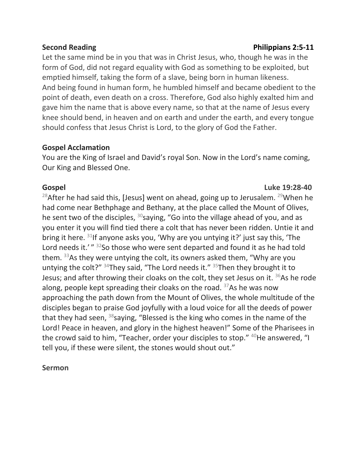Let the same mind be in you that was in Christ Jesus, who, though he was in the form of God, did not regard equality with God as something to be exploited, but emptied himself, taking the form of a slave, being born in human likeness. And being found in human form, he humbled himself and became obedient to the point of death, even death on a cross. Therefore, God also highly exalted him and gave him the name that is above every name, so that at the name of Jesus every knee should bend, in heaven and on earth and under the earth, and every tongue should confess that Jesus Christ is Lord, to the glory of God the Father.

#### **Gospel Acclamation**

You are the King of Israel and David's royal Son. Now in the Lord's name coming, Our King and Blessed One.

### **Gospel Luke 19:28-40**

<sup>28</sup>After he had said this, [Jesus] went on ahead, going up to Jerusalem. <sup>29</sup>When he had come near Bethphage and Bethany, at the place called the Mount of Olives, he sent two of the disciples,  $30$  saying, "Go into the village ahead of you, and as you enter it you will find tied there a colt that has never been ridden. Untie it and bring it here.  $31$ If anyone asks you, 'Why are you untying it?' just say this, 'The Lord needs it.' " <sup>32</sup>So those who were sent departed and found it as he had told them.  $33$ As they were untying the colt, its owners asked them, "Why are you untying the colt?"  $34$ They said, "The Lord needs it."  $35$ Then they brought it to Jesus; and after throwing their cloaks on the colt, they set Jesus on it.  $36$ As he rode along, people kept spreading their cloaks on the road.  $37$ As he was now approaching the path down from the Mount of Olives, the whole multitude of the disciples began to praise God joyfully with a loud voice for all the deeds of power that they had seen, <sup>38</sup>saying, "Blessed is the king who comes in the name of the Lord! Peace in heaven, and glory in the highest heaven!" Some of the Pharisees in the crowd said to him, "Teacher, order your disciples to stop." <sup>40</sup>He answered, "I tell you, if these were silent, the stones would shout out."

### **Sermon**

#### **Second Reading Philippians 2:5-11**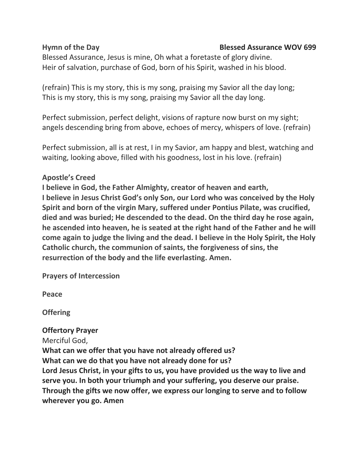## **Hymn of the Day Blessed Assurance WOV 699**

Blessed Assurance, Jesus is mine, Oh what a foretaste of glory divine. Heir of salvation, purchase of God, born of his Spirit, washed in his blood.

(refrain) This is my story, this is my song, praising my Savior all the day long; This is my story, this is my song, praising my Savior all the day long.

Perfect submission, perfect delight, visions of rapture now burst on my sight; angels descending bring from above, echoes of mercy, whispers of love. (refrain)

Perfect submission, all is at rest, I in my Savior, am happy and blest, watching and waiting, looking above, filled with his goodness, lost in his love. (refrain)

## **Apostle's Creed**

**I believe in God, the Father Almighty, creator of heaven and earth, I believe in Jesus Christ God's only Son, our Lord who was conceived by the Holy Spirit and born of the virgin Mary, suffered under Pontius Pilate, was crucified, died and was buried; He descended to the dead. On the third day he rose again, he ascended into heaven, he is seated at the right hand of the Father and he will come again to judge the living and the dead. I believe in the Holy Spirit, the Holy Catholic church, the communion of saints, the forgiveness of sins, the resurrection of the body and the life everlasting. Amen.**

**Prayers of Intercession** 

**Peace**

**Offering** 

# **Offertory Prayer**

Merciful God, **What can we offer that you have not already offered us? What can we do that you have not already done for us? Lord Jesus Christ, in your gifts to us, you have provided us the way to live and serve you. In both your triumph and your suffering, you deserve our praise. Through the gifts we now offer, we express our longing to serve and to follow wherever you go. Amen**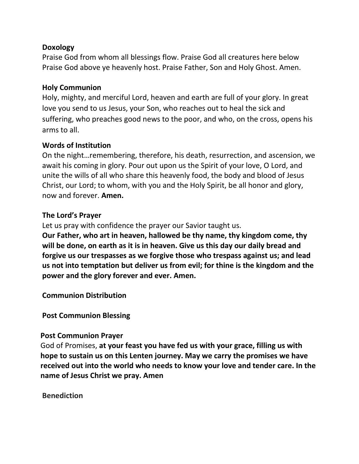# **Doxology**

Praise God from whom all blessings flow. Praise God all creatures here below Praise God above ye heavenly host. Praise Father, Son and Holy Ghost. Amen.

# **Holy Communion**

Holy, mighty, and merciful Lord, heaven and earth are full of your glory. In great love you send to us Jesus, your Son, who reaches out to heal the sick and suffering, who preaches good news to the poor, and who, on the cross, opens his arms to all.

# **Words of Institution**

On the night…remembering, therefore, his death, resurrection, and ascension, we await his coming in glory. Pour out upon us the Spirit of your love, O Lord, and unite the wills of all who share this heavenly food, the body and blood of Jesus Christ, our Lord; to whom, with you and the Holy Spirit, be all honor and glory, now and forever. **Amen.**

# **The Lord's Prayer**

Let us pray with confidence the prayer our Savior taught us.

**Our Father, who art in heaven, hallowed be thy name, thy kingdom come, thy will be done, on earth as it is in heaven. Give us this day our daily bread and forgive us our trespasses as we forgive those who trespass against us; and lead us not into temptation but deliver us from evil; for thine is the kingdom and the power and the glory forever and ever. Amen.**

**Communion Distribution**

**Post Communion Blessing**

## **Post Communion Prayer**

God of Promises, **at your feast you have fed us with your grace, filling us with hope to sustain us on this Lenten journey. May we carry the promises we have received out into the world who needs to know your love and tender care. In the name of Jesus Christ we pray. Amen** 

**Benediction**